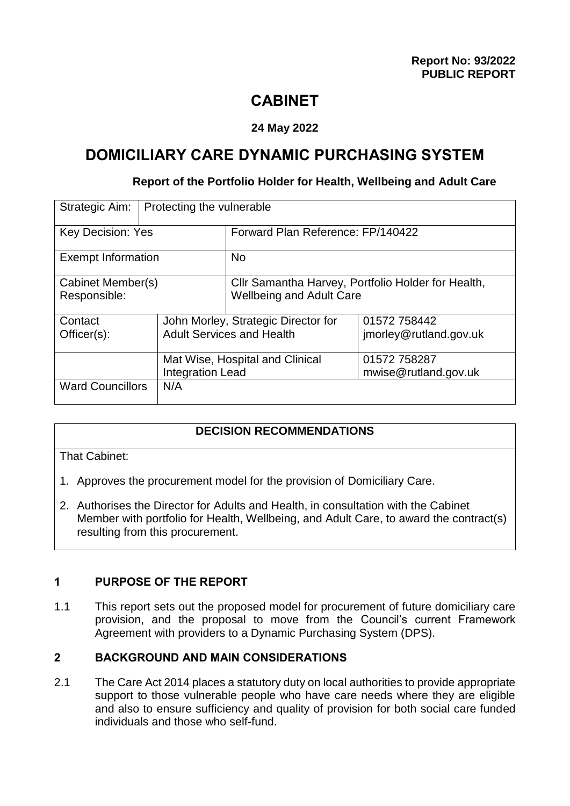## **CABINET**

## **24 May 2022**

## **DOMICILIARY CARE DYNAMIC PURCHASING SYSTEM**

#### **Report of the Portfolio Holder for Health, Wellbeing and Adult Care**

| Strategic Aim:                    | Protecting the vulnerable                                               |                                                                                       |                                        |  |
|-----------------------------------|-------------------------------------------------------------------------|---------------------------------------------------------------------------------------|----------------------------------------|--|
| <b>Key Decision: Yes</b>          |                                                                         | Forward Plan Reference: FP/140422                                                     |                                        |  |
| <b>Exempt Information</b>         |                                                                         | <b>No</b>                                                                             |                                        |  |
| Cabinet Member(s)<br>Responsible: |                                                                         | Cllr Samantha Harvey, Portfolio Holder for Health,<br><b>Wellbeing and Adult Care</b> |                                        |  |
| Contact<br>$Officer(s)$ :         | John Morley, Strategic Director for<br><b>Adult Services and Health</b> |                                                                                       | 01572 758442<br>jmorley@rutland.gov.uk |  |
|                                   | Mat Wise, Hospital and Clinical<br><b>Integration Lead</b>              |                                                                                       | 01572 758287<br>mwise@rutland.gov.uk   |  |
| <b>Ward Councillors</b>           | N/A                                                                     |                                                                                       |                                        |  |

#### **DECISION RECOMMENDATIONS**

That Cabinet:

- 1. Approves the procurement model for the provision of Domiciliary Care.
- 2. Authorises the Director for Adults and Health, in consultation with the Cabinet Member with portfolio for Health, Wellbeing, and Adult Care, to award the contract(s) resulting from this procurement.

#### **1 PURPOSE OF THE REPORT**

1.1 This report sets out the proposed model for procurement of future domiciliary care provision, and the proposal to move from the Council's current Framework Agreement with providers to a Dynamic Purchasing System (DPS).

## **2 BACKGROUND AND MAIN CONSIDERATIONS**

2.1 The Care Act 2014 places a statutory duty on local authorities to provide appropriate support to those vulnerable people who have care needs where they are eligible and also to ensure sufficiency and quality of provision for both social care funded individuals and those who self-fund.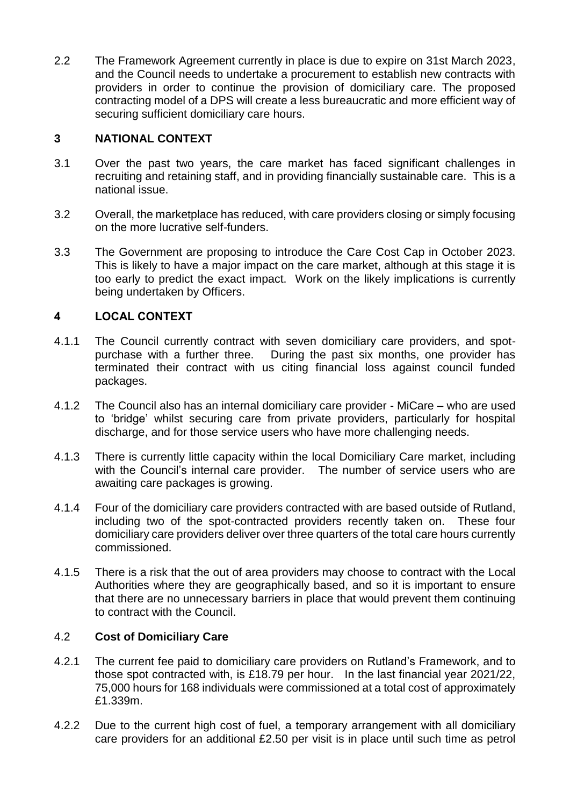2.2 The Framework Agreement currently in place is due to expire on 31st March 2023, and the Council needs to undertake a procurement to establish new contracts with providers in order to continue the provision of domiciliary care. The proposed contracting model of a DPS will create a less bureaucratic and more efficient way of securing sufficient domiciliary care hours.

## **3 NATIONAL CONTEXT**

- 3.1 Over the past two years, the care market has faced significant challenges in recruiting and retaining staff, and in providing financially sustainable care. This is a national issue.
- 3.2 Overall, the marketplace has reduced, with care providers closing or simply focusing on the more lucrative self-funders.
- 3.3 The Government are proposing to introduce the Care Cost Cap in October 2023. This is likely to have a major impact on the care market, although at this stage it is too early to predict the exact impact. Work on the likely implications is currently being undertaken by Officers.

## **4 LOCAL CONTEXT**

- 4.1.1 The Council currently contract with seven domiciliary care providers, and spotpurchase with a further three. During the past six months, one provider has terminated their contract with us citing financial loss against council funded packages.
- 4.1.2 The Council also has an internal domiciliary care provider MiCare who are used to 'bridge' whilst securing care from private providers, particularly for hospital discharge, and for those service users who have more challenging needs.
- 4.1.3 There is currently little capacity within the local Domiciliary Care market, including with the Council's internal care provider. The number of service users who are awaiting care packages is growing.
- 4.1.4 Four of the domiciliary care providers contracted with are based outside of Rutland, including two of the spot-contracted providers recently taken on. These four domiciliary care providers deliver over three quarters of the total care hours currently commissioned.
- 4.1.5 There is a risk that the out of area providers may choose to contract with the Local Authorities where they are geographically based, and so it is important to ensure that there are no unnecessary barriers in place that would prevent them continuing to contract with the Council.

#### 4.2 **Cost of Domiciliary Care**

- 4.2.1 The current fee paid to domiciliary care providers on Rutland's Framework, and to those spot contracted with, is £18.79 per hour. In the last financial year 2021/22, 75,000 hours for 168 individuals were commissioned at a total cost of approximately £1.339m.
- 4.2.2 Due to the current high cost of fuel, a temporary arrangement with all domiciliary care providers for an additional £2.50 per visit is in place until such time as petrol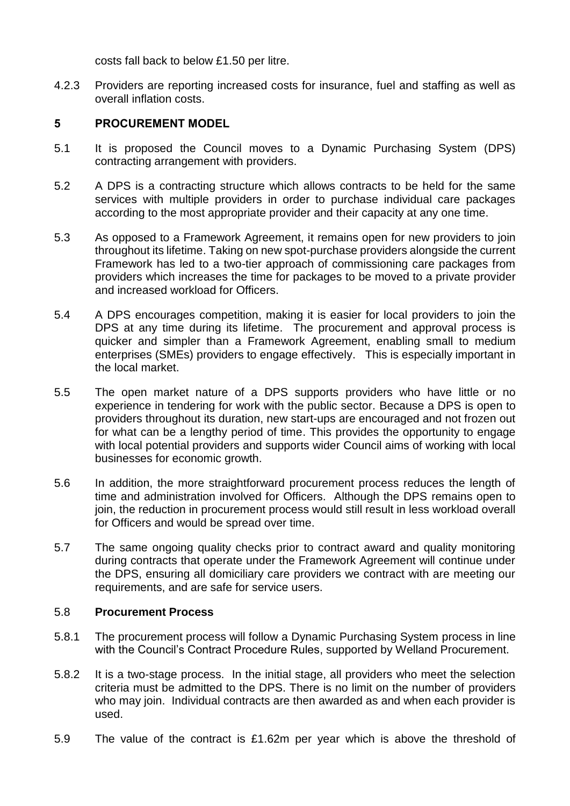costs fall back to below £1.50 per litre.

4.2.3 Providers are reporting increased costs for insurance, fuel and staffing as well as overall inflation costs.

#### **5 PROCUREMENT MODEL**

- 5.1 It is proposed the Council moves to a Dynamic Purchasing System (DPS) contracting arrangement with providers.
- 5.2 A DPS is a contracting structure which allows contracts to be held for the same services with multiple providers in order to purchase individual care packages according to the most appropriate provider and their capacity at any one time.
- 5.3 As opposed to a Framework Agreement, it remains open for new providers to join throughout its lifetime. Taking on new spot-purchase providers alongside the current Framework has led to a two-tier approach of commissioning care packages from providers which increases the time for packages to be moved to a private provider and increased workload for Officers.
- 5.4 A DPS encourages competition, making it is easier for local providers to join the DPS at any time during its lifetime. The procurement and approval process is quicker and simpler than a Framework Agreement, enabling small to medium enterprises (SMEs) providers to engage effectively. This is especially important in the local market.
- 5.5 The open market nature of a DPS supports providers who have little or no experience in tendering for work with the public sector. Because a DPS is open to providers throughout its duration, new start-ups are encouraged and not frozen out for what can be a lengthy period of time. This provides the opportunity to engage with local potential providers and supports wider Council aims of working with local businesses for economic growth.
- 5.6 In addition, the more straightforward procurement process reduces the length of time and administration involved for Officers. Although the DPS remains open to join, the reduction in procurement process would still result in less workload overall for Officers and would be spread over time.
- 5.7 The same ongoing quality checks prior to contract award and quality monitoring during contracts that operate under the Framework Agreement will continue under the DPS, ensuring all domiciliary care providers we contract with are meeting our requirements, and are safe for service users.

#### 5.8 **Procurement Process**

- 5.8.1 The procurement process will follow a Dynamic Purchasing System process in line with the Council's Contract Procedure Rules, supported by Welland Procurement.
- 5.8.2 It is a two-stage process. In the initial stage, all providers who meet the selection criteria must be admitted to the DPS. There is no limit on the number of providers who may join. Individual contracts are then awarded as and when each provider is used.
- 5.9 The value of the contract is £1.62m per year which is above the threshold of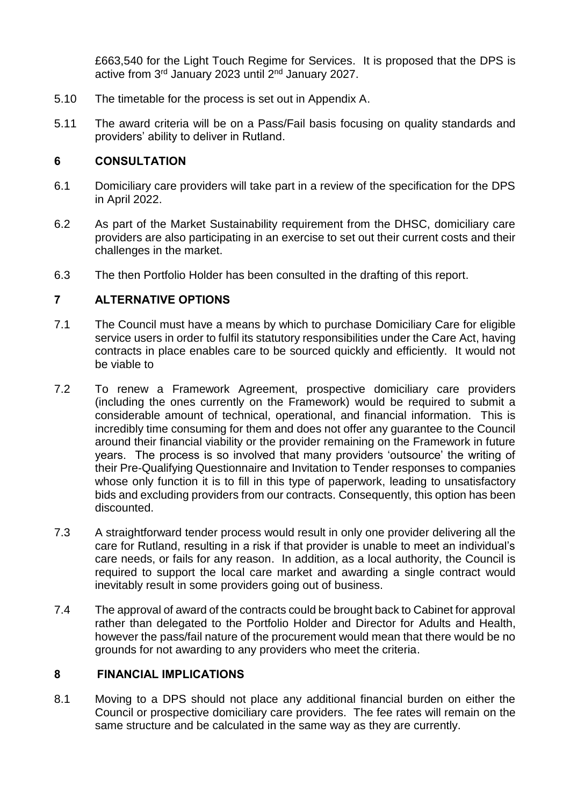£663,540 for the Light Touch Regime for Services. It is proposed that the DPS is active from 3<sup>rd</sup> January 2023 until 2<sup>nd</sup> January 2027.

- 5.10 The timetable for the process is set out in Appendix A.
- 5.11 The award criteria will be on a Pass/Fail basis focusing on quality standards and providers' ability to deliver in Rutland.

## **6 CONSULTATION**

- 6.1 Domiciliary care providers will take part in a review of the specification for the DPS in April 2022.
- 6.2 As part of the Market Sustainability requirement from the DHSC, domiciliary care providers are also participating in an exercise to set out their current costs and their challenges in the market.
- 6.3 The then Portfolio Holder has been consulted in the drafting of this report.

## **7 ALTERNATIVE OPTIONS**

- 7.1 The Council must have a means by which to purchase Domiciliary Care for eligible service users in order to fulfil its statutory responsibilities under the Care Act, having contracts in place enables care to be sourced quickly and efficiently. It would not be viable to
- 7.2 To renew a Framework Agreement, prospective domiciliary care providers (including the ones currently on the Framework) would be required to submit a considerable amount of technical, operational, and financial information. This is incredibly time consuming for them and does not offer any guarantee to the Council around their financial viability or the provider remaining on the Framework in future years. The process is so involved that many providers 'outsource' the writing of their Pre-Qualifying Questionnaire and Invitation to Tender responses to companies whose only function it is to fill in this type of paperwork, leading to unsatisfactory bids and excluding providers from our contracts. Consequently, this option has been discounted.
- 7.3 A straightforward tender process would result in only one provider delivering all the care for Rutland, resulting in a risk if that provider is unable to meet an individual's care needs, or fails for any reason. In addition, as a local authority, the Council is required to support the local care market and awarding a single contract would inevitably result in some providers going out of business.
- 7.4 The approval of award of the contracts could be brought back to Cabinet for approval rather than delegated to the Portfolio Holder and Director for Adults and Health, however the pass/fail nature of the procurement would mean that there would be no grounds for not awarding to any providers who meet the criteria.

#### **8 FINANCIAL IMPLICATIONS**

8.1 Moving to a DPS should not place any additional financial burden on either the Council or prospective domiciliary care providers. The fee rates will remain on the same structure and be calculated in the same way as they are currently.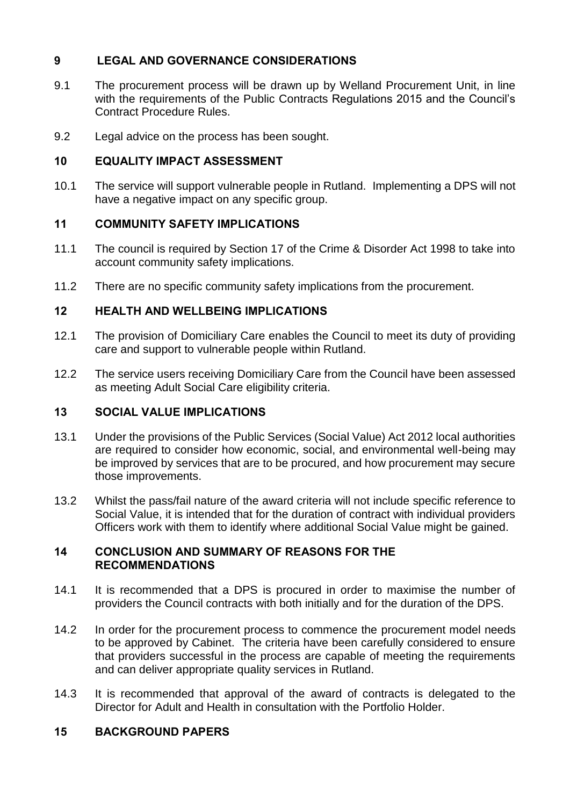## **9 LEGAL AND GOVERNANCE CONSIDERATIONS**

- 9.1 The procurement process will be drawn up by Welland Procurement Unit, in line with the requirements of the Public Contracts Regulations 2015 and the Council's Contract Procedure Rules.
- 9.2 Legal advice on the process has been sought.

## **10 EQUALITY IMPACT ASSESSMENT**

10.1 The service will support vulnerable people in Rutland. Implementing a DPS will not have a negative impact on any specific group.

## **11 COMMUNITY SAFETY IMPLICATIONS**

- 11.1 The council is required by Section 17 of the Crime & Disorder Act 1998 to take into account community safety implications.
- 11.2 There are no specific community safety implications from the procurement.

## **12 HEALTH AND WELLBEING IMPLICATIONS**

- 12.1 The provision of Domiciliary Care enables the Council to meet its duty of providing care and support to vulnerable people within Rutland.
- 12.2 The service users receiving Domiciliary Care from the Council have been assessed as meeting Adult Social Care eligibility criteria.

## **13 SOCIAL VALUE IMPLICATIONS**

- 13.1 Under the provisions of the Public Services (Social Value) Act 2012 local authorities are required to consider how economic, social, and environmental well-being may be improved by services that are to be procured, and how procurement may secure those improvements.
- 13.2 Whilst the pass/fail nature of the award criteria will not include specific reference to Social Value, it is intended that for the duration of contract with individual providers Officers work with them to identify where additional Social Value might be gained.

#### **14 CONCLUSION AND SUMMARY OF REASONS FOR THE RECOMMENDATIONS**

- 14.1 It is recommended that a DPS is procured in order to maximise the number of providers the Council contracts with both initially and for the duration of the DPS.
- 14.2 In order for the procurement process to commence the procurement model needs to be approved by Cabinet. The criteria have been carefully considered to ensure that providers successful in the process are capable of meeting the requirements and can deliver appropriate quality services in Rutland.
- 14.3 It is recommended that approval of the award of contracts is delegated to the Director for Adult and Health in consultation with the Portfolio Holder.

## **15 BACKGROUND PAPERS**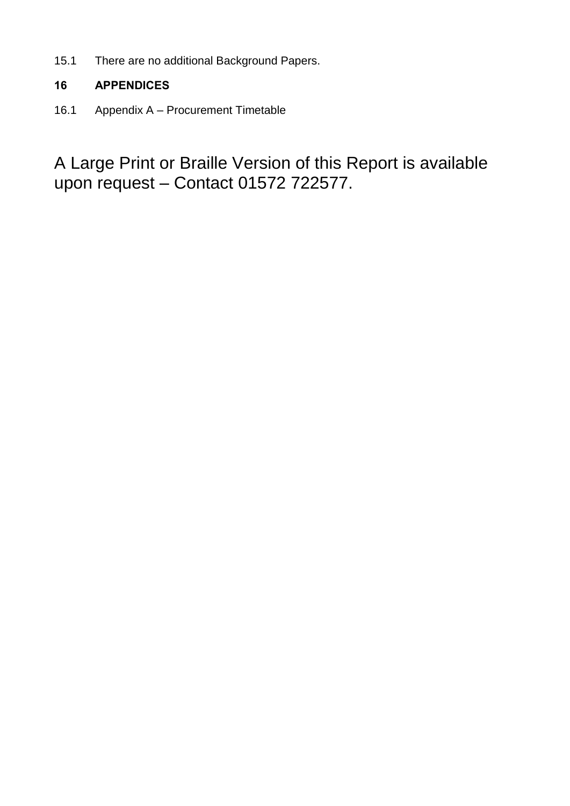15.1 There are no additional Background Papers.

## **16 APPENDICES**

16.1 Appendix A – Procurement Timetable

A Large Print or Braille Version of this Report is available upon request – Contact 01572 722577.